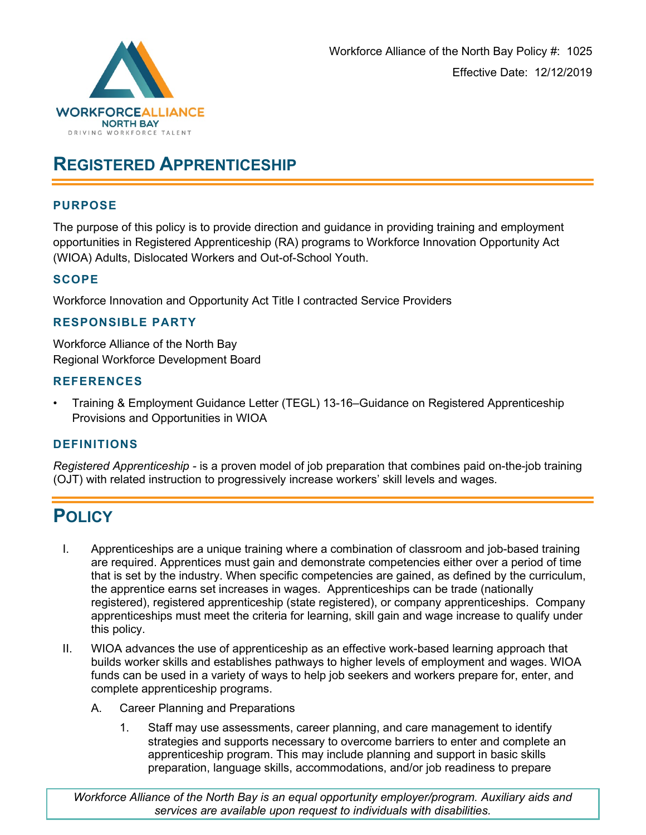

# **REGISTERED APPRENTICESHIP**

### **PURPOSE**

The purpose of this policy is to provide direction and guidance in providing training and employment opportunities in Registered Apprenticeship (RA) programs to Workforce Innovation Opportunity Act (WIOA) Adults, Dislocated Workers and Out-of-School Youth.

## **SCOPE**

Workforce Innovation and Opportunity Act Title I contracted Service Providers

#### **RESPONSIBLE PARTY**

Workforce Alliance of the North Bay Regional Workforce Development Board

#### **REFERENCES**

• Training & Employment Guidance Letter (TEGL) 13-16–Guidance on Registered Apprenticeship Provisions and Opportunities in WIOA

## **DEFINITIONS**

*Registered Apprenticeship -* is a proven model of job preparation that combines paid on-the-job training (OJT) with related instruction to progressively increase workers' skill levels and wages*.* 

## **POLICY**

- I. Apprenticeships are a unique training where a combination of classroom and job-based training are required. Apprentices must gain and demonstrate competencies either over a period of time that is set by the industry. When specific competencies are gained, as defined by the curriculum, the apprentice earns set increases in wages. Apprenticeships can be trade (nationally registered), registered apprenticeship (state registered), or company apprenticeships. Company apprenticeships must meet the criteria for learning, skill gain and wage increase to qualify under this policy.
- II. WIOA advances the use of apprenticeship as an effective work-based learning approach that builds worker skills and establishes pathways to higher levels of employment and wages. WIOA funds can be used in a variety of ways to help job seekers and workers prepare for, enter, and complete apprenticeship programs.
	- A. Career Planning and Preparations
		- 1. Staff may use assessments, career planning, and care management to identify strategies and supports necessary to overcome barriers to enter and complete an apprenticeship program. This may include planning and support in basic skills preparation, language skills, accommodations, and/or job readiness to prepare

*Workforce Alliance of the North Bay is an equal opportunity employer/program. Auxiliary aids and services are available upon request to individuals with disabilities.*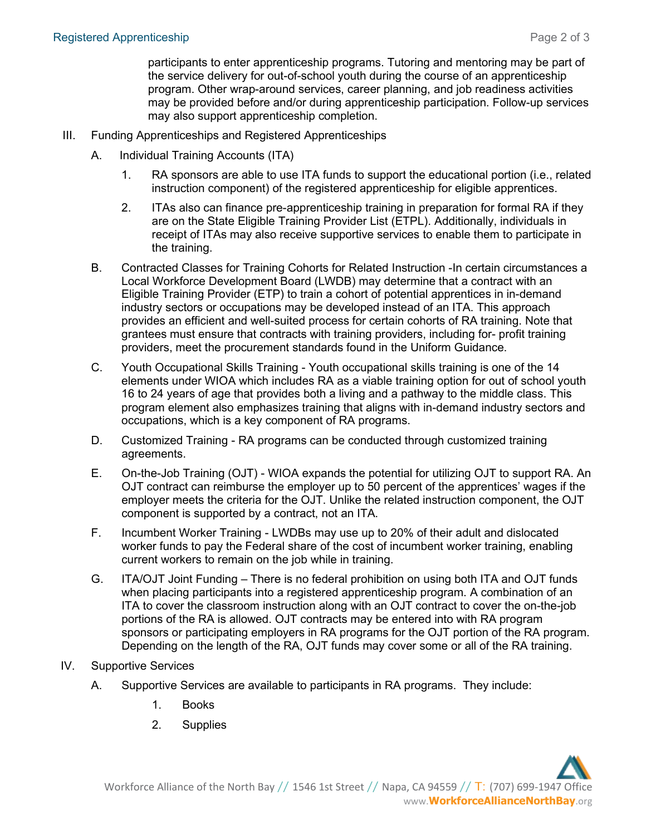participants to enter apprenticeship programs. Tutoring and mentoring may be part of the service delivery for out-of-school youth during the course of an apprenticeship program. Other wrap-around services, career planning, and job readiness activities may be provided before and/or during apprenticeship participation. Follow-up services may also support apprenticeship completion.

- III. Funding Apprenticeships and Registered Apprenticeships
	- A. Individual Training Accounts (ITA)
		- 1. RA sponsors are able to use ITA funds to support the educational portion (i.e., related instruction component) of the registered apprenticeship for eligible apprentices.
		- 2. ITAs also can finance pre-apprenticeship training in preparation for formal RA if they are on the State Eligible Training Provider List (ETPL). Additionally, individuals in receipt of ITAs may also receive supportive services to enable them to participate in the training.
	- B. Contracted Classes for Training Cohorts for Related Instruction -In certain circumstances a Local Workforce Development Board (LWDB) may determine that a contract with an Eligible Training Provider (ETP) to train a cohort of potential apprentices in in-demand industry sectors or occupations may be developed instead of an ITA. This approach provides an efficient and well-suited process for certain cohorts of RA training. Note that grantees must ensure that contracts with training providers, including for- profit training providers, meet the procurement standards found in the Uniform Guidance.
	- C. Youth Occupational Skills Training Youth occupational skills training is one of the 14 elements under WIOA which includes RA as a viable training option for out of school youth 16 to 24 years of age that provides both a living and a pathway to the middle class. This program element also emphasizes training that aligns with in-demand industry sectors and occupations, which is a key component of RA programs.
	- D. Customized Training RA programs can be conducted through customized training agreements.
	- E. On-the-Job Training (OJT) WIOA expands the potential for utilizing OJT to support RA. An OJT contract can reimburse the employer up to 50 percent of the apprentices' wages if the employer meets the criteria for the OJT. Unlike the related instruction component, the OJT component is supported by a contract, not an ITA.
	- F. Incumbent Worker Training LWDBs may use up to 20% of their adult and dislocated worker funds to pay the Federal share of the cost of incumbent worker training, enabling current workers to remain on the job while in training.
	- G. ITA/OJT Joint Funding There is no federal prohibition on using both ITA and OJT funds when placing participants into a registered apprenticeship program. A combination of an ITA to cover the classroom instruction along with an OJT contract to cover the on-the-job portions of the RA is allowed. OJT contracts may be entered into with RA program sponsors or participating employers in RA programs for the OJT portion of the RA program. Depending on the length of the RA, OJT funds may cover some or all of the RA training.
- IV. Supportive Services
	- A. Supportive Services are available to participants in RA programs. They include:
		- 1. Books
		- 2. Supplies